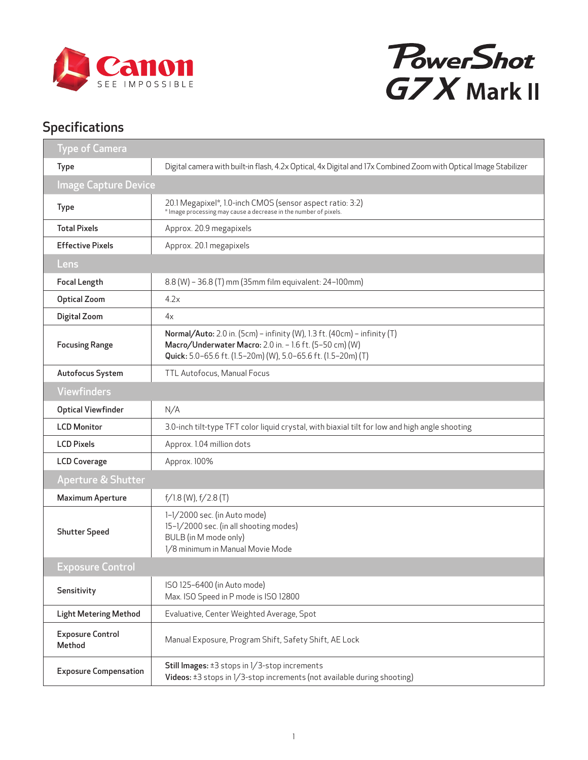



## Specifications

| <b>Type of Camera</b>                          |                                                                                                                                                                                                      |
|------------------------------------------------|------------------------------------------------------------------------------------------------------------------------------------------------------------------------------------------------------|
| <b>Type</b>                                    | Digital camera with built-in flash, 4.2x Optical, 4x Digital and 17x Combined Zoom with Optical Image Stabilizer                                                                                     |
| <b>Image Capture Device</b>                    |                                                                                                                                                                                                      |
| Type                                           | 20.1 Megapixel*, 1.0-inch CMOS (sensor aspect ratio: 3:2)<br>* Image processing may cause a decrease in the number of pixels.                                                                        |
| <b>Total Pixels</b>                            | Approx. 20.9 megapixels                                                                                                                                                                              |
| <b>Effective Pixels</b>                        | Approx. 20.1 megapixels                                                                                                                                                                              |
| Lens                                           |                                                                                                                                                                                                      |
| <b>Focal Length</b>                            | 8.8 (W) - 36.8 (T) mm (35mm film equivalent: 24-100mm)                                                                                                                                               |
| <b>Optical Zoom</b>                            | 4.2x                                                                                                                                                                                                 |
| Digital Zoom                                   | 4x                                                                                                                                                                                                   |
| <b>Focusing Range</b>                          | Normal/Auto: 2.0 in. (5cm) - infinity (W), 1.3 ft. (40cm) - infinity (T)<br>Macro/Underwater Macro: 2.0 in. - 1.6 ft. (5-50 cm) (W)<br>Quick: 5.0-65.6 ft. (1.5-20m) (W), 5.0-65.6 ft. (1.5-20m) (T) |
| Autofocus System                               | TTL Autofocus, Manual Focus                                                                                                                                                                          |
| <b>Viewfinders</b>                             |                                                                                                                                                                                                      |
| <b>Optical Viewfinder</b>                      | N/A                                                                                                                                                                                                  |
| <b>LCD Monitor</b>                             | 3.0-inch tilt-type TFT color liquid crystal, with biaxial tilt for low and high angle shooting                                                                                                       |
| Approx. 1.04 million dots<br><b>LCD Pixels</b> |                                                                                                                                                                                                      |
| <b>LCD Coverage</b>                            | Approx. 100%                                                                                                                                                                                         |
| <b>Aperture &amp; Shutter</b>                  |                                                                                                                                                                                                      |
| <b>Maximum Aperture</b>                        | $f/1.8$ (W), $f/2.8$ (T)                                                                                                                                                                             |
| <b>Shutter Speed</b>                           | 1-1/2000 sec. (in Auto mode)<br>15-1/2000 sec. (in all shooting modes)<br>BULB (in M mode only)<br>1/8 minimum in Manual Movie Mode                                                                  |
| <b>Exposure Control</b>                        |                                                                                                                                                                                                      |
| Sensitivity                                    | ISO 125-6400 (in Auto mode)<br>Max. ISO Speed in P mode is ISO 12800                                                                                                                                 |
| <b>Light Metering Method</b>                   | Evaluative, Center Weighted Average, Spot                                                                                                                                                            |
| <b>Exposure Control</b><br>Method              | Manual Exposure, Program Shift, Safety Shift, AE Lock                                                                                                                                                |
| <b>Exposure Compensation</b>                   | Still Images: ±3 stops in 1/3-stop increments<br>Videos: ±3 stops in 1/3-stop increments (not available during shooting)                                                                             |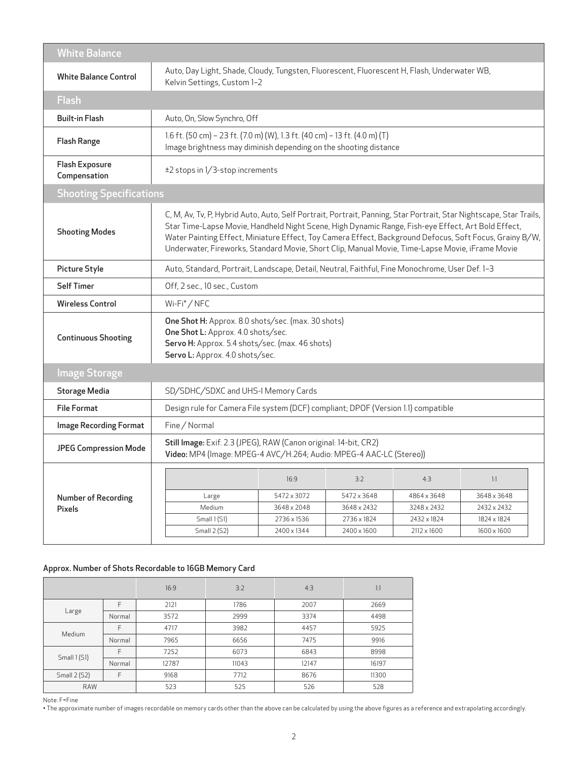| <b>White Balance</b>                  |                                                                                                                                                                                                                                                                                                                                                                                                                                        |             |             |             |             |
|---------------------------------------|----------------------------------------------------------------------------------------------------------------------------------------------------------------------------------------------------------------------------------------------------------------------------------------------------------------------------------------------------------------------------------------------------------------------------------------|-------------|-------------|-------------|-------------|
| <b>White Balance Control</b>          | Auto, Day Light, Shade, Cloudy, Tungsten, Fluorescent, Fluorescent H, Flash, Underwater WB,<br>Kelvin Settings, Custom 1-2                                                                                                                                                                                                                                                                                                             |             |             |             |             |
| <b>Flash</b>                          |                                                                                                                                                                                                                                                                                                                                                                                                                                        |             |             |             |             |
| <b>Built-in Flash</b>                 | Auto, On, Slow Synchro, Off                                                                                                                                                                                                                                                                                                                                                                                                            |             |             |             |             |
| <b>Flash Range</b>                    | 1.6 ft. (50 cm) - 23 ft. (7.0 m) (W), 1.3 ft. (40 cm) - 13 ft. (4.0 m) (T)<br>Image brightness may diminish depending on the shooting distance                                                                                                                                                                                                                                                                                         |             |             |             |             |
| <b>Flash Exposure</b><br>Compensation | ±2 stops in 1/3-stop increments                                                                                                                                                                                                                                                                                                                                                                                                        |             |             |             |             |
|                                       | <b>Shooting Specifications</b>                                                                                                                                                                                                                                                                                                                                                                                                         |             |             |             |             |
| <b>Shooting Modes</b>                 | C, M, Av, Tv, P, Hybrid Auto, Auto, Self Portrait, Portrait, Panning, Star Portrait, Star Nightscape, Star Trails,<br>Star Time-Lapse Movie, Handheld Night Scene, High Dynamic Range, Fish-eye Effect, Art Bold Effect,<br>Water Painting Effect, Miniature Effect, Toy Camera Effect, Background Defocus, Soft Focus, Grainy B/W,<br>Underwater, Fireworks, Standard Movie, Short Clip, Manual Movie, Time-Lapse Movie, iFrame Movie |             |             |             |             |
| Picture Style                         | Auto, Standard, Portrait, Landscape, Detail, Neutral, Faithful, Fine Monochrome, User Def. 1-3                                                                                                                                                                                                                                                                                                                                         |             |             |             |             |
| <b>Self Timer</b>                     | Off, 2 sec., 10 sec., Custom                                                                                                                                                                                                                                                                                                                                                                                                           |             |             |             |             |
| <b>Wireless Control</b>               | Wi-Fi <sup>®</sup> /NFC                                                                                                                                                                                                                                                                                                                                                                                                                |             |             |             |             |
| <b>Continuous Shooting</b>            | One Shot H: Approx. 8.0 shots/sec. (max. 30 shots)<br>One Shot L: Approx. 4.0 shots/sec.<br>Servo H: Approx. 5.4 shots/sec. (max. 46 shots)<br>Servo L: Approx. 4.0 shots/sec.                                                                                                                                                                                                                                                         |             |             |             |             |
| <b>Image Storage</b>                  |                                                                                                                                                                                                                                                                                                                                                                                                                                        |             |             |             |             |
| <b>Storage Media</b>                  | SD/SDHC/SDXC and UHS-I Memory Cards                                                                                                                                                                                                                                                                                                                                                                                                    |             |             |             |             |
| <b>File Format</b>                    | Design rule for Camera File system (DCF) compliant; DPOF (Version 1.1) compatible                                                                                                                                                                                                                                                                                                                                                      |             |             |             |             |
| <b>Image Recording Format</b>         | Fine / Normal                                                                                                                                                                                                                                                                                                                                                                                                                          |             |             |             |             |
| <b>JPEG Compression Mode</b>          | Still Image: Exif. 2.3 (JPEG), RAW (Canon original: 14-bit, CR2)<br>Video: MP4 (Image: MPEG-4 AVC/H.264; Audio: MPEG-4 AAC-LC (Stereo))                                                                                                                                                                                                                                                                                                |             |             |             |             |
|                                       |                                                                                                                                                                                                                                                                                                                                                                                                                                        | 16:9        | 3:2         | 4:3         | 1:1         |
| Number of Recording                   | Large                                                                                                                                                                                                                                                                                                                                                                                                                                  | 5472 x 3072 | 5472 x 3648 | 4864 x 3648 | 3648 x 3648 |
| <b>Pixels</b>                         | Medium                                                                                                                                                                                                                                                                                                                                                                                                                                 | 3648 x 2048 | 3648 x 2432 | 3248 x 2432 | 2432 x 2432 |
|                                       | Small 1 (S1)                                                                                                                                                                                                                                                                                                                                                                                                                           | 2736 x 1536 | 2736 x 1824 | 2432 x 1824 | 1824 x 1824 |
|                                       | Small 2 (S2)                                                                                                                                                                                                                                                                                                                                                                                                                           | 2400 x 1344 | 2400 x 1600 | 2112 x 1600 | 1600 x 1600 |

## Approx. Number of Shots Recordable to 16GB Memory Card

|                     |        | 16:9  | 3:2   | 4:3   | 1:1   |
|---------------------|--------|-------|-------|-------|-------|
|                     | F      | 2121  | 1786  | 2007  | 2669  |
| Large               | Normal | 3572  | 2999  | 3374  | 4498  |
| Medium              | F      | 4717  | 3982  | 4457  | 5925  |
|                     | Normal | 7965  | 6656  | 7475  | 9916  |
| Small 1(S1)         | F      | 7252  | 6073  | 6843  | 8998  |
|                     | Normal | 12787 | 11043 | 12147 | 16197 |
| <b>Small 2 (S2)</b> | F      | 9168  | 7712  | 8676  | 11300 |
| <b>RAW</b>          |        | 523   | 525   | 526   | 528   |

Note: F=Fine

• The approximate number of images recordable on memory cards other than the above can be calculated by using the above figures as a reference and extrapolating accordingly.